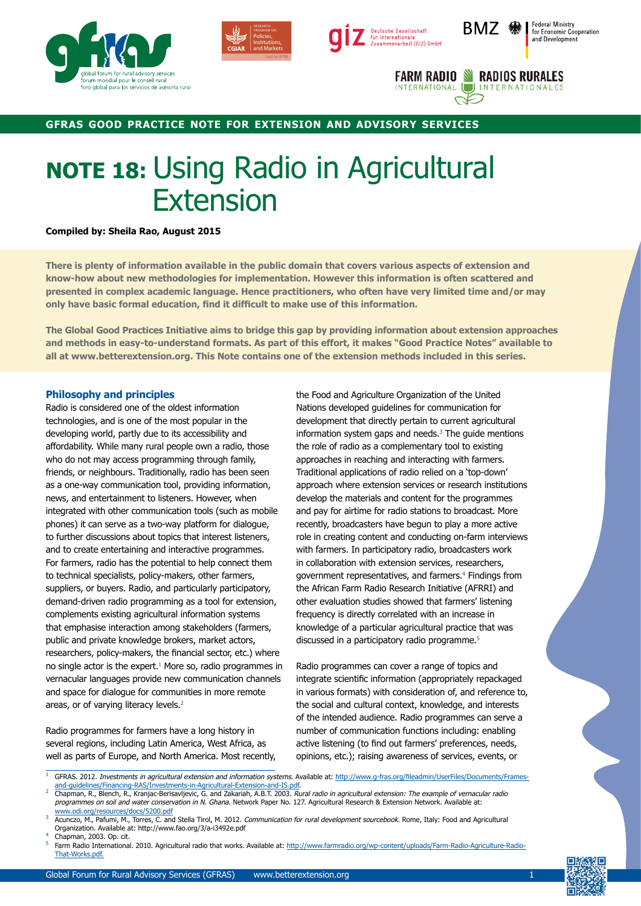







## **gfras good practice note for extension and advisory services**

## **NOTE 18:** Using Radio in Agricultural Extension

## **Compiled by: Sheila Rao, August 2015**

**There is plenty of information available in the public domain that covers various aspects of extension and know-how about new methodologies for implementation. However this information is often scattered and presented in complex academic language. Hence practitioners, who often have very limited time and/or may only have basic formal education, find it difficult to make use of this information.**

**The Global Good Practices Initiative aims to bridge this gap by providing information about extension approaches and methods in easy-to-understand formats. As part of this effort, it makes "Good Practice Notes" available to all at www.betterextension.org. This Note contains one of the extension methods included in this series.**

## **Philosophy and principles**

Radio is considered one of the oldest information technologies, and is one of the most popular in the developing world, partly due to its accessibility and affordability. While many rural people own a radio, those who do not may access programming through family, friends, or neighbours. Traditionally, radio has been seen as a one-way communication tool, providing information, news, and entertainment to listeners. However, when integrated with other communication tools (such as mobile phones) it can serve as a two-way platform for dialogue, to further discussions about topics that interest listeners, and to create entertaining and interactive programmes. For farmers, radio has the potential to help connect them to technical specialists, policy-makers, other farmers, suppliers, or buyers. Radio, and particularly participatory, demand-driven radio programming as a tool for extension, complements existing agricultural information systems that emphasise interaction among stakeholders (farmers, public and private knowledge brokers, market actors, researchers, policy-makers, the financial sector, etc.) where no single actor is the expert.<sup>1</sup> More so, radio programmes in vernacular languages provide new communication channels and space for dialogue for communities in more remote areas, or of varying literacy levels.<sup>2</sup>

Radio programmes for farmers have a long history in several regions, including Latin America, West Africa, as well as parts of Europe, and North America. Most recently, the Food and Agriculture Organization of the United Nations developed guidelines for communication for development that directly pertain to current agricultural information system gaps and needs. $3$  The guide mentions the role of radio as a complementary tool to existing approaches in reaching and interacting with farmers. Traditional applications of radio relied on a 'top-down' approach where extension services or research institutions develop the materials and content for the programmes and pay for airtime for radio stations to broadcast. More recently, broadcasters have begun to play a more active role in creating content and conducting on-farm interviews with farmers. In participatory radio, broadcasters work in collaboration with extension services, researchers, government representatives, and farmers.<sup>4</sup> Findings from the African Farm Radio Research Initiative (AFRRI) and other evaluation studies showed that farmers' listening frequency is directly correlated with an increase in knowledge of a particular agricultural practice that was discussed in a participatory radio programme.<sup>5</sup>

Radio programmes can cover a range of topics and integrate scientific information (appropriately repackaged in various formats) with consideration of, and reference to, the social and cultural context, knowledge, and interests of the intended audience. Radio programmes can serve a number of communication functions including: enabling active listening (to find out farmers' preferences, needs, opinions, etc.); raising awareness of services, events, or

- <sup>1</sup> GFRAS. 2012. Investments in agricultural extension and information systems. Available at: [http://www.g-fras.org/fileadmin/UserFiles/Documents/Frames](http://www.g-fras.org/fileadmin/UserFiles/Documents/Frames-and-guidelines/Financing-RAS/Investments-in-Agricultural-Extension-and-IS.pdf)[and-guidelines/Financing-RAS/Investments-in-Agricultural-Extension-and-IS.pdf.](http://www.g-fras.org/fileadmin/UserFiles/Documents/Frames-and-guidelines/Financing-RAS/Investments-in-Agricultural-Extension-and-IS.pdf)
- <sup>2</sup> Chapman, R., Blench, R., Kranjac-Berisavljevic, G. and Zakariah, A.B.T. 2003. Rural radio in agricultural extension: The example of vernacular radio programmes on soil and water conservation in N. Ghana. Network Paper No. 127. Agricultural Research & Extension Network. Available at:
- www.odi.org/resources/docs/5200.pdf<br>3 Acunczo, M., Pafumi, M., Torres, C. and Stella Tirol, M. 2012. Communication for rural development sourcebook. Rome, Italy: Food and Agricultural Organization. Available at: http://www.fao.org/3/a-i3492e.pdf

Farm Radio International. 2010. Agricultural radio that works. Available at: [http://www.farmradio.org/wp-content/uploads/Farm-Radio-Agriculture-Radio-](http://www.farmradio.org/wp-content/uploads/Farm-Radio-Agriculture-Radio-That-Works.pdf)[That-Works.pdf](http://www.farmradio.org/wp-content/uploads/Farm-Radio-Agriculture-Radio-That-Works.pdf).



Chapman, 2003. Op. cit.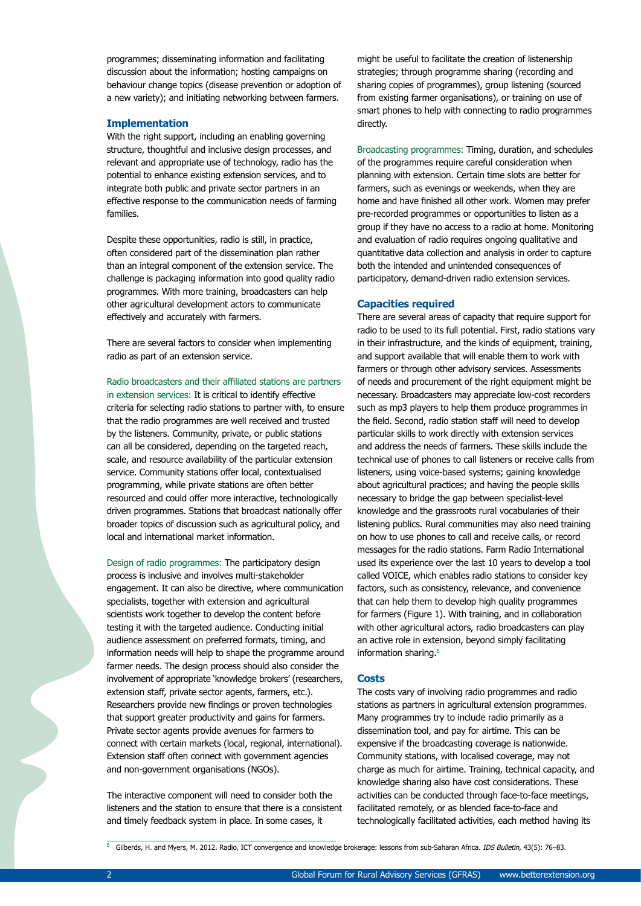programmes; disseminating information and facilitating discussion about the information; hosting campaigns on behaviour change topics (disease prevention or adoption of a new variety); and initiating networking between farmers.

## **Implementation**

With the right support, including an enabling governing structure, thoughtful and inclusive design processes, and relevant and appropriate use of technology, radio has the potential to enhance existing extension services, and to integrate both public and private sector partners in an effective response to the communication needs of farming families.

Despite these opportunities, radio is still, in practice, often considered part of the dissemination plan rather than an integral component of the extension service. The challenge is packaging information into good quality radio programmes. With more training, broadcasters can help other agricultural development actors to communicate effectively and accurately with farmers.

There are several factors to consider when implementing radio as part of an extension service.

#### Radio broadcasters and their affiliated stations are partners

in extension services: It is critical to identify effective criteria for selecting radio stations to partner with, to ensure that the radio programmes are well received and trusted by the listeners. Community, private, or public stations can all be considered, depending on the targeted reach, scale, and resource availability of the particular extension service. Community stations offer local, contextualised programming, while private stations are often better resourced and could offer more interactive, technologically driven programmes. Stations that broadcast nationally offer broader topics of discussion such as agricultural policy, and local and international market information.

Design of radio programmes: The participatory design process is inclusive and involves multi-stakeholder engagement. It can also be directive, where communication specialists, together with extension and agricultural scientists work together to develop the content before testing it with the targeted audience. Conducting initial audience assessment on preferred formats, timing, and information needs will help to shape the programme around farmer needs. The design process should also consider the involvement of appropriate 'knowledge brokers' (researchers, extension staff, private sector agents, farmers, etc.). Researchers provide new findings or proven technologies that support greater productivity and gains for farmers. Private sector agents provide avenues for farmers to connect with certain markets (local, regional, international). Extension staff often connect with government agencies and non-government organisations (NGOs).

The interactive component will need to consider both the listeners and the station to ensure that there is a consistent and timely feedback system in place. In some cases, it

might be useful to facilitate the creation of listenership strategies; through programme sharing (recording and sharing copies of programmes), group listening (sourced from existing farmer organisations), or training on use of smart phones to help with connecting to radio programmes directly.

Broadcasting programmes: Timing, duration, and schedules of the programmes require careful consideration when planning with extension. Certain time slots are better for farmers, such as evenings or weekends, when they are home and have finished all other work. Women may prefer pre-recorded programmes or opportunities to listen as a group if they have no access to a radio at home. Monitoring and evaluation of radio requires ongoing qualitative and quantitative data collection and analysis in order to capture both the intended and unintended consequences of participatory, demand-driven radio extension services.

## **Capacities required**

There are several areas of capacity that require support for radio to be used to its full potential. First, radio stations vary in their infrastructure, and the kinds of equipment, training, and support available that will enable them to work with farmers or through other advisory services. Assessments of needs and procurement of the right equipment might be necessary. Broadcasters may appreciate low-cost recorders such as mp3 players to help them produce programmes in the field. Second, radio station staff will need to develop particular skills to work directly with extension services and address the needs of farmers. These skills include the technical use of phones to call listeners or receive calls from listeners, using voice-based systems; gaining knowledge about agricultural practices; and having the people skills necessary to bridge the gap between specialist-level knowledge and the grassroots rural vocabularies of their listening publics. Rural communities may also need training on how to use phones to call and receive calls, or record messages for the radio stations. Farm Radio International used its experience over the last 10 years to develop a tool called VOICE, which enables radio stations to consider key factors, such as consistency, relevance, and convenience that can help them to develop high quality programmes for farmers (Figure 1). With training, and in collaboration with other agricultural actors, radio broadcasters can play an active role in extension, beyond simply facilitating information sharing.<sup>6</sup>

## **Costs**

The costs vary of involving radio programmes and radio stations as partners in agricultural extension programmes. Many programmes try to include radio primarily as a dissemination tool, and pay for airtime. This can be expensive if the broadcasting coverage is nationwide. Community stations, with localised coverage, may not charge as much for airtime. Training, technical capacity, and knowledge sharing also have cost considerations. These activities can be conducted through face-to-face meetings, facilitated remotely, or as blended face-to-face and technologically facilitated activities, each method having its

Gilberds, H. and Myers, M. 2012. Radio, ICT convergence and knowledge brokerage: lessons from sub-Saharan Africa. IDS Bulletin, 43(5): 76-83.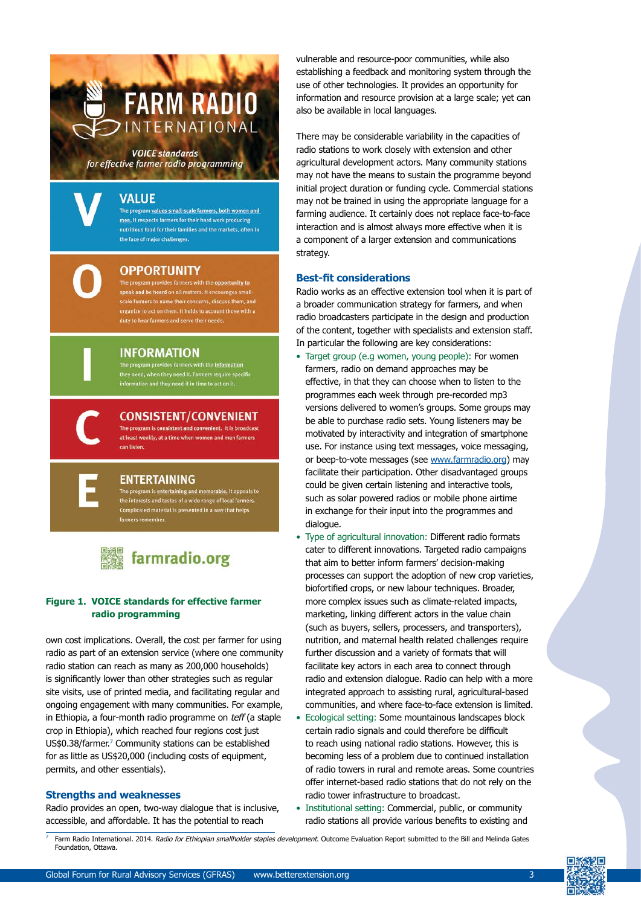# **FARM RADIO** INTERNATIONAL

**VOICE standards** for effective farmer radio programming

## **VALUE**

The program values small-scale farmers, both women and men. It respects farmers for their hard work producing nutritious food for their families and the markets, often in the face of major challenges

## **OPPORTUNITY**

**INFORMATION** 

The program provides farmers with the opportunity to speak and be heard on all matters. It encourages small organize to act on them. It holds to account those with a duty to hear farmers and serve their need:



## **CONSISTENT/CONVENIENT**

The program provides farmers with the information<br>they need, when they need it. Farmers require spe<br>information and they need it in time to act on it.

The program is consistent and convenient. It is broadcast at least weekly, at a time when women and men farmers can listen

## **ENTERTAINING**

The program is entertaining and memorable. It appeals to<br>the interests and tastes of a wide range of local farmers. Complicated material is presented in a way that helps



## **Figure 1. VOICE standards for effective farmer radio programming**

own cost implications. Overall, the cost per farmer for using radio as part of an extension service (where one community radio station can reach as many as 200,000 households) is significantly lower than other strategies such as regular site visits, use of printed media, and facilitating regular and ongoing engagement with many communities. For example, in Ethiopia, a four-month radio programme on teff (a staple crop in Ethiopia), which reached four regions cost just US\$0.38/farmer.7 Community stations can be established for as little as US\$20,000 (including costs of equipment, permits, and other essentials).

## **Strengths and weaknesses**

Radio provides an open, two-way dialogue that is inclusive, accessible, and affordable. It has the potential to reach

vulnerable and resource-poor communities, while also establishing a feedback and monitoring system through the use of other technologies. It provides an opportunity for information and resource provision at a large scale; yet can also be available in local languages.

There may be considerable variability in the capacities of radio stations to work closely with extension and other agricultural development actors. Many community stations may not have the means to sustain the programme beyond initial project duration or funding cycle. Commercial stations may not be trained in using the appropriate language for a farming audience. It certainly does not replace face-to-face interaction and is almost always more effective when it is a component of a larger extension and communications strategy.

## **Best-fit considerations**

Radio works as an effective extension tool when it is part of a broader communication strategy for farmers, and when radio broadcasters participate in the design and production of the content, together with specialists and extension staff. In particular the following are key considerations:

- Target group (e.g women, young people): For women farmers, radio on demand approaches may be effective, in that they can choose when to listen to the programmes each week through pre-recorded mp3 versions delivered to women's groups. Some groups may be able to purchase radio sets. Young listeners may be motivated by interactivity and integration of smartphone use. For instance using text messages, voice messaging, or beep-to-vote messages (see www.farmradio.org) may facilitate their participation. Other disadvantaged groups could be given certain listening and interactive tools, such as solar powered radios or mobile phone airtime in exchange for their input into the programmes and dialogue.
- Type of agricultural innovation: Different radio formats cater to different innovations. Targeted radio campaigns that aim to better inform farmers' decision-making processes can support the adoption of new crop varieties, biofortified crops, or new labour techniques. Broader, more complex issues such as climate-related impacts, marketing, linking different actors in the value chain (such as buyers, sellers, processers, and transporters), nutrition, and maternal health related challenges require further discussion and a variety of formats that will facilitate key actors in each area to connect through radio and extension dialogue. Radio can help with a more integrated approach to assisting rural, agricultural-based communities, and where face-to-face extension is limited.
- Ecological setting: Some mountainous landscapes block certain radio signals and could therefore be difficult to reach using national radio stations. However, this is becoming less of a problem due to continued installation of radio towers in rural and remote areas. Some countries offer internet-based radio stations that do not rely on the radio tower infrastructure to broadcast.
- Institutional setting: Commercial, public, or community radio stations all provide various benefits to existing and

Farm Radio International. 2014. Radio for Ethiopian smallholder staples development. Outcome Evaluation Report submitted to the Bill and Melinda Gates Foundation, Ottawa.